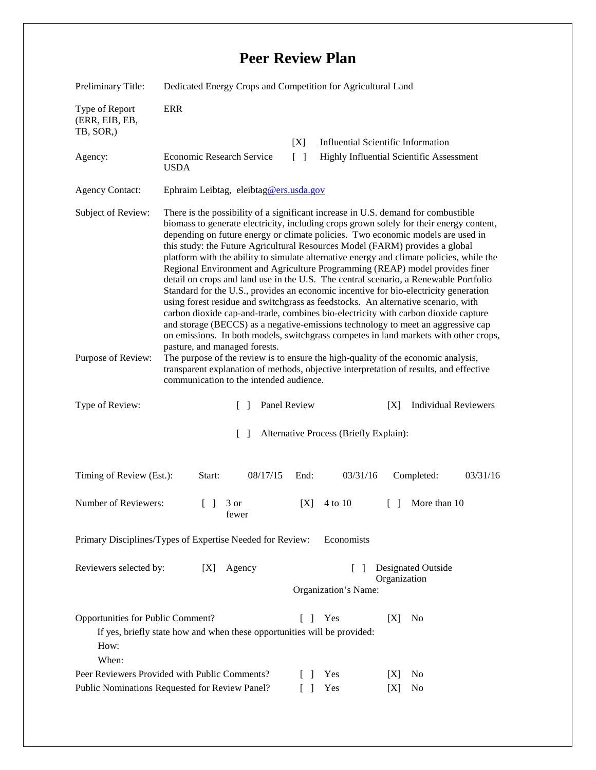## **Peer Review Plan**

| Preliminary Title:                                 | Dedicated Energy Crops and Competition for Agricultural Land                                                                                                                                                                                                                                                                                                                                                                                                                                                                                                                                                                                                                                                                                                                                                                                                                                                                                                                                                                                                                                                                                                                                                                                                                                                                  |                                        |                                           |
|----------------------------------------------------|-------------------------------------------------------------------------------------------------------------------------------------------------------------------------------------------------------------------------------------------------------------------------------------------------------------------------------------------------------------------------------------------------------------------------------------------------------------------------------------------------------------------------------------------------------------------------------------------------------------------------------------------------------------------------------------------------------------------------------------------------------------------------------------------------------------------------------------------------------------------------------------------------------------------------------------------------------------------------------------------------------------------------------------------------------------------------------------------------------------------------------------------------------------------------------------------------------------------------------------------------------------------------------------------------------------------------------|----------------------------------------|-------------------------------------------|
| Type of Report<br>(ERR, EIB, EB,<br>TB, SOR.)      | <b>ERR</b>                                                                                                                                                                                                                                                                                                                                                                                                                                                                                                                                                                                                                                                                                                                                                                                                                                                                                                                                                                                                                                                                                                                                                                                                                                                                                                                    |                                        |                                           |
|                                                    |                                                                                                                                                                                                                                                                                                                                                                                                                                                                                                                                                                                                                                                                                                                                                                                                                                                                                                                                                                                                                                                                                                                                                                                                                                                                                                                               | [X]                                    | <b>Influential Scientific Information</b> |
| Agency:                                            | Economic Research Service<br><b>USDA</b>                                                                                                                                                                                                                                                                                                                                                                                                                                                                                                                                                                                                                                                                                                                                                                                                                                                                                                                                                                                                                                                                                                                                                                                                                                                                                      | $\lceil \rceil$                        | Highly Influential Scientific Assessment  |
| <b>Agency Contact:</b>                             | Ephraim Leibtag, eleibtag@ers.usda.gov                                                                                                                                                                                                                                                                                                                                                                                                                                                                                                                                                                                                                                                                                                                                                                                                                                                                                                                                                                                                                                                                                                                                                                                                                                                                                        |                                        |                                           |
| Subject of Review:                                 | There is the possibility of a significant increase in U.S. demand for combustible<br>biomass to generate electricity, including crops grown solely for their energy content,<br>depending on future energy or climate policies. Two economic models are used in<br>this study: the Future Agricultural Resources Model (FARM) provides a global<br>platform with the ability to simulate alternative energy and climate policies, while the<br>Regional Environment and Agriculture Programming (REAP) model provides finer<br>detail on crops and land use in the U.S. The central scenario, a Renewable Portfolio<br>Standard for the U.S., provides an economic incentive for bio-electricity generation<br>using forest residue and switchgrass as feedstocks. An alternative scenario, with<br>carbon dioxide cap-and-trade, combines bio-electricity with carbon dioxide capture<br>and storage (BECCS) as a negative-emissions technology to meet an aggressive cap<br>on emissions. In both models, switchgrass competes in land markets with other crops,<br>pasture, and managed forests.<br>The purpose of the review is to ensure the high-quality of the economic analysis,<br>transparent explanation of methods, objective interpretation of results, and effective<br>communication to the intended audience. |                                        |                                           |
| Purpose of Review:                                 |                                                                                                                                                                                                                                                                                                                                                                                                                                                                                                                                                                                                                                                                                                                                                                                                                                                                                                                                                                                                                                                                                                                                                                                                                                                                                                                               |                                        |                                           |
|                                                    |                                                                                                                                                                                                                                                                                                                                                                                                                                                                                                                                                                                                                                                                                                                                                                                                                                                                                                                                                                                                                                                                                                                                                                                                                                                                                                                               |                                        |                                           |
| Type of Review:                                    | Panel Review<br>$\Box$                                                                                                                                                                                                                                                                                                                                                                                                                                                                                                                                                                                                                                                                                                                                                                                                                                                                                                                                                                                                                                                                                                                                                                                                                                                                                                        |                                        | <b>Individual Reviewers</b><br>[X]        |
|                                                    | $\Box$                                                                                                                                                                                                                                                                                                                                                                                                                                                                                                                                                                                                                                                                                                                                                                                                                                                                                                                                                                                                                                                                                                                                                                                                                                                                                                                        | Alternative Process (Briefly Explain): |                                           |
| Timing of Review (Est.):                           | 08/17/15<br>Start:                                                                                                                                                                                                                                                                                                                                                                                                                                                                                                                                                                                                                                                                                                                                                                                                                                                                                                                                                                                                                                                                                                                                                                                                                                                                                                            | 03/31/16<br>End:                       | Completed:<br>03/31/16                    |
| Number of Reviewers:                               | $\begin{bmatrix} 1 & 3 \end{bmatrix}$<br>tewer                                                                                                                                                                                                                                                                                                                                                                                                                                                                                                                                                                                                                                                                                                                                                                                                                                                                                                                                                                                                                                                                                                                                                                                                                                                                                | [X]<br>4 to 10                         | More than 10<br>L L                       |
|                                                    | Primary Disciplines/Types of Expertise Needed for Review:                                                                                                                                                                                                                                                                                                                                                                                                                                                                                                                                                                                                                                                                                                                                                                                                                                                                                                                                                                                                                                                                                                                                                                                                                                                                     | Economists                             |                                           |
| Reviewers selected by:                             | [X]<br>Agency                                                                                                                                                                                                                                                                                                                                                                                                                                                                                                                                                                                                                                                                                                                                                                                                                                                                                                                                                                                                                                                                                                                                                                                                                                                                                                                 | $\mathbf{1}$<br>Organization's Name:   | Designated Outside<br>Organization        |
| Opportunities for Public Comment?<br>How:<br>When: | If yes, briefly state how and when these opportunities will be provided:                                                                                                                                                                                                                                                                                                                                                                                                                                                                                                                                                                                                                                                                                                                                                                                                                                                                                                                                                                                                                                                                                                                                                                                                                                                      | Yes<br>L<br>-1                         | [X]<br>N <sub>0</sub>                     |
|                                                    | Peer Reviewers Provided with Public Comments?                                                                                                                                                                                                                                                                                                                                                                                                                                                                                                                                                                                                                                                                                                                                                                                                                                                                                                                                                                                                                                                                                                                                                                                                                                                                                 | Yes<br>$\mathbf{L}$<br>- 1             | [X]<br>N <sub>0</sub>                     |